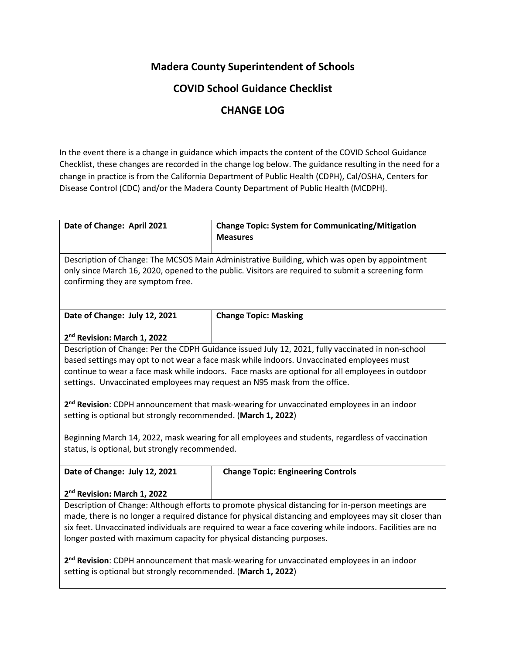## **Madera County Superintendent of Schools**

## **COVID School Guidance Checklist**

## **CHANGE LOG**

In the event there is a change in guidance which impacts the content of the COVID School Guidance Checklist, these changes are recorded in the change log below. The guidance resulting in the need for a change in practice is from the California Department of Public Health (CDPH), Cal/OSHA, Centers for Disease Control (CDC) and/or the Madera County Department of Public Health (MCDPH).

| Date of Change: April 2021                                                                               | <b>Change Topic: System for Communicating/Mitigation</b>                                              |  |
|----------------------------------------------------------------------------------------------------------|-------------------------------------------------------------------------------------------------------|--|
|                                                                                                          | <b>Measures</b>                                                                                       |  |
|                                                                                                          |                                                                                                       |  |
|                                                                                                          | Description of Change: The MCSOS Main Administrative Building, which was open by appointment          |  |
|                                                                                                          | only since March 16, 2020, opened to the public. Visitors are required to submit a screening form     |  |
| confirming they are symptom free.                                                                        |                                                                                                       |  |
|                                                                                                          |                                                                                                       |  |
|                                                                                                          |                                                                                                       |  |
| Date of Change: July 12, 2021                                                                            | <b>Change Topic: Masking</b>                                                                          |  |
|                                                                                                          |                                                                                                       |  |
| 2 <sup>nd</sup> Revision: March 1, 2022                                                                  |                                                                                                       |  |
|                                                                                                          | Description of Change: Per the CDPH Guidance issued July 12, 2021, fully vaccinated in non-school     |  |
|                                                                                                          | based settings may opt to not wear a face mask while indoors. Unvaccinated employees must             |  |
|                                                                                                          | continue to wear a face mask while indoors. Face masks are optional for all employees in outdoor      |  |
| settings. Unvaccinated employees may request an N95 mask from the office.                                |                                                                                                       |  |
|                                                                                                          |                                                                                                       |  |
|                                                                                                          | 2 <sup>nd</sup> Revision: CDPH announcement that mask-wearing for unvaccinated employees in an indoor |  |
| setting is optional but strongly recommended. (March 1, 2022)                                            |                                                                                                       |  |
|                                                                                                          |                                                                                                       |  |
|                                                                                                          | Beginning March 14, 2022, mask wearing for all employees and students, regardless of vaccination      |  |
| status, is optional, but strongly recommended.                                                           |                                                                                                       |  |
|                                                                                                          |                                                                                                       |  |
| Date of Change: July 12, 2021                                                                            | <b>Change Topic: Engineering Controls</b>                                                             |  |
|                                                                                                          |                                                                                                       |  |
| 2 <sup>nd</sup> Revision: March 1, 2022                                                                  |                                                                                                       |  |
| Description of Change: Although efforts to promote physical distancing for in-person meetings are        |                                                                                                       |  |
| made, there is no longer a required distance for physical distancing and employees may sit closer than   |                                                                                                       |  |
| six feet. Unvaccinated individuals are required to wear a face covering while indoors. Facilities are no |                                                                                                       |  |
| longer posted with maximum capacity for physical distancing purposes.                                    |                                                                                                       |  |
|                                                                                                          |                                                                                                       |  |
| 2 <sup>nd</sup> Revision: CDPH announcement that mask-wearing for unvaccinated employees in an indoor    |                                                                                                       |  |
| setting is optional but strongly recommended. (March 1, 2022)                                            |                                                                                                       |  |
|                                                                                                          |                                                                                                       |  |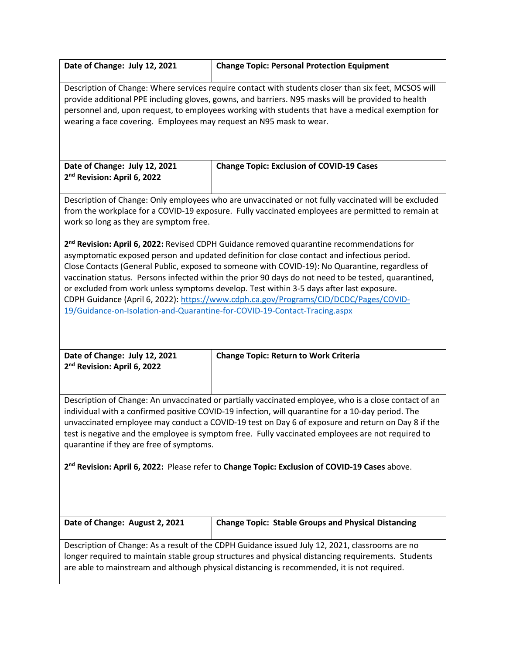| Date of Change: July 12, 2021                                                                                                                                                                                                                                                                                                                                                                                                                                                                                                                                                                                                                                                     | <b>Change Topic: Personal Protection Equipment</b>         |  |
|-----------------------------------------------------------------------------------------------------------------------------------------------------------------------------------------------------------------------------------------------------------------------------------------------------------------------------------------------------------------------------------------------------------------------------------------------------------------------------------------------------------------------------------------------------------------------------------------------------------------------------------------------------------------------------------|------------------------------------------------------------|--|
| Description of Change: Where services require contact with students closer than six feet, MCSOS will<br>provide additional PPE including gloves, gowns, and barriers. N95 masks will be provided to health<br>personnel and, upon request, to employees working with students that have a medical exemption for<br>wearing a face covering. Employees may request an N95 mask to wear.                                                                                                                                                                                                                                                                                            |                                                            |  |
| Date of Change: July 12, 2021<br>2 <sup>nd</sup> Revision: April 6, 2022                                                                                                                                                                                                                                                                                                                                                                                                                                                                                                                                                                                                          | <b>Change Topic: Exclusion of COVID-19 Cases</b>           |  |
| Description of Change: Only employees who are unvaccinated or not fully vaccinated will be excluded<br>from the workplace for a COVID-19 exposure. Fully vaccinated employees are permitted to remain at<br>work so long as they are symptom free.                                                                                                                                                                                                                                                                                                                                                                                                                                |                                                            |  |
| 2 <sup>nd</sup> Revision: April 6, 2022: Revised CDPH Guidance removed quarantine recommendations for<br>asymptomatic exposed person and updated definition for close contact and infectious period.<br>Close Contacts (General Public, exposed to someone with COVID-19): No Quarantine, regardless of<br>vaccination status. Persons infected within the prior 90 days do not need to be tested, quarantined,<br>or excluded from work unless symptoms develop. Test within 3-5 days after last exposure.<br>CDPH Guidance (April 6, 2022): https://www.cdph.ca.gov/Programs/CID/DCDC/Pages/COVID-<br>19/Guidance-on-Isolation-and-Quarantine-for-COVID-19-Contact-Tracing.aspx |                                                            |  |
| Date of Change: July 12, 2021<br>2 <sup>nd</sup> Revision: April 6, 2022                                                                                                                                                                                                                                                                                                                                                                                                                                                                                                                                                                                                          | <b>Change Topic: Return to Work Criteria</b>               |  |
| Description of Change: An unvaccinated or partially vaccinated employee, who is a close contact of an<br>individual with a confirmed positive COVID-19 infection, will quarantine for a 10-day period. The<br>unvaccinated employee may conduct a COVID-19 test on Day 6 of exposure and return on Day 8 if the<br>test is negative and the employee is symptom free. Fully vaccinated employees are not required to<br>quarantine if they are free of symptoms.                                                                                                                                                                                                                  |                                                            |  |
| 2 <sup>nd</sup> Revision: April 6, 2022: Please refer to Change Topic: Exclusion of COVID-19 Cases above.                                                                                                                                                                                                                                                                                                                                                                                                                                                                                                                                                                         |                                                            |  |
| Date of Change: August 2, 2021                                                                                                                                                                                                                                                                                                                                                                                                                                                                                                                                                                                                                                                    | <b>Change Topic: Stable Groups and Physical Distancing</b> |  |
| Description of Change: As a result of the CDPH Guidance issued July 12, 2021, classrooms are no<br>longer required to maintain stable group structures and physical distancing requirements. Students<br>are able to mainstream and although physical distancing is recommended, it is not required.                                                                                                                                                                                                                                                                                                                                                                              |                                                            |  |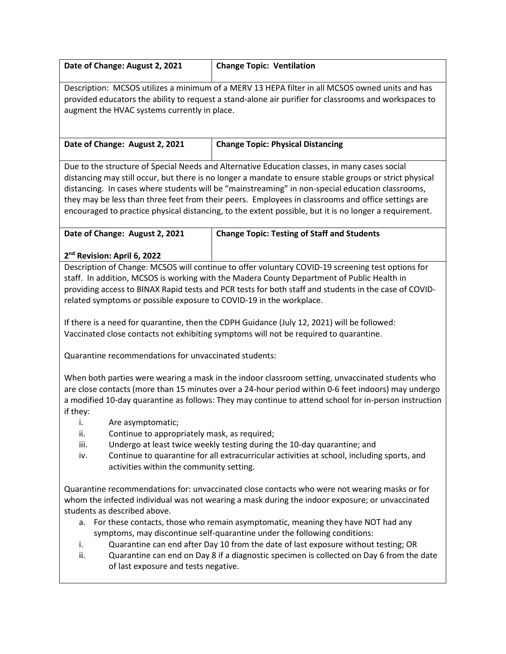|                                                                                                                                                                                                                                                                                                                                                                                                                                                                                                                                                                                                                                                                                                                                                                                                                                                                                                                                                                                                 | Date of Change: August 2, 2021                                                                                | <b>Change Topic: Ventilation</b>                                                                                                                                                                                                                                                                                                                                                                                                                                                                                                                       |
|-------------------------------------------------------------------------------------------------------------------------------------------------------------------------------------------------------------------------------------------------------------------------------------------------------------------------------------------------------------------------------------------------------------------------------------------------------------------------------------------------------------------------------------------------------------------------------------------------------------------------------------------------------------------------------------------------------------------------------------------------------------------------------------------------------------------------------------------------------------------------------------------------------------------------------------------------------------------------------------------------|---------------------------------------------------------------------------------------------------------------|--------------------------------------------------------------------------------------------------------------------------------------------------------------------------------------------------------------------------------------------------------------------------------------------------------------------------------------------------------------------------------------------------------------------------------------------------------------------------------------------------------------------------------------------------------|
| Description: MCSOS utilizes a minimum of a MERV 13 HEPA filter in all MCSOS owned units and has<br>provided educators the ability to request a stand-alone air purifier for classrooms and workspaces to<br>augment the HVAC systems currently in place.                                                                                                                                                                                                                                                                                                                                                                                                                                                                                                                                                                                                                                                                                                                                        |                                                                                                               |                                                                                                                                                                                                                                                                                                                                                                                                                                                                                                                                                        |
|                                                                                                                                                                                                                                                                                                                                                                                                                                                                                                                                                                                                                                                                                                                                                                                                                                                                                                                                                                                                 | Date of Change: August 2, 2021                                                                                | <b>Change Topic: Physical Distancing</b>                                                                                                                                                                                                                                                                                                                                                                                                                                                                                                               |
| Due to the structure of Special Needs and Alternative Education classes, in many cases social<br>distancing may still occur, but there is no longer a mandate to ensure stable groups or strict physical<br>distancing. In cases where students will be "mainstreaming" in non-special education classrooms,<br>they may be less than three feet from their peers. Employees in classrooms and office settings are<br>encouraged to practice physical distancing, to the extent possible, but it is no longer a requirement.                                                                                                                                                                                                                                                                                                                                                                                                                                                                    |                                                                                                               |                                                                                                                                                                                                                                                                                                                                                                                                                                                                                                                                                        |
|                                                                                                                                                                                                                                                                                                                                                                                                                                                                                                                                                                                                                                                                                                                                                                                                                                                                                                                                                                                                 | Date of Change: August 2, 2021                                                                                | <b>Change Topic: Testing of Staff and Students</b>                                                                                                                                                                                                                                                                                                                                                                                                                                                                                                     |
| 2 <sup>nd</sup> Revision: April 6, 2022<br>Description of Change: MCSOS will continue to offer voluntary COVID-19 screening test options for<br>staff. In addition, MCSOS is working with the Madera County Department of Public Health in<br>providing access to BINAX Rapid tests and PCR tests for both staff and students in the case of COVID-<br>related symptoms or possible exposure to COVID-19 in the workplace.<br>If there is a need for quarantine, then the CDPH Guidance (July 12, 2021) will be followed:<br>Vaccinated close contacts not exhibiting symptoms will not be required to quarantine.<br>Quarantine recommendations for unvaccinated students:<br>When both parties were wearing a mask in the indoor classroom setting, unvaccinated students who<br>are close contacts (more than 15 minutes over a 24-hour period within 0-6 feet indoors) may undergo<br>a modified 10-day quarantine as follows: They may continue to attend school for in-person instruction |                                                                                                               |                                                                                                                                                                                                                                                                                                                                                                                                                                                                                                                                                        |
| if they:<br>j,<br>ii.<br>iii.<br>iv.                                                                                                                                                                                                                                                                                                                                                                                                                                                                                                                                                                                                                                                                                                                                                                                                                                                                                                                                                            | Are asymptomatic;<br>Continue to appropriately mask, as required;<br>activities within the community setting. | Undergo at least twice weekly testing during the 10-day quarantine; and<br>Continue to quarantine for all extracurricular activities at school, including sports, and                                                                                                                                                                                                                                                                                                                                                                                  |
| i.<br>ii.                                                                                                                                                                                                                                                                                                                                                                                                                                                                                                                                                                                                                                                                                                                                                                                                                                                                                                                                                                                       | students as described above.<br>of last exposure and tests negative.                                          | Quarantine recommendations for: unvaccinated close contacts who were not wearing masks or for<br>whom the infected individual was not wearing a mask during the indoor exposure; or unvaccinated<br>a. For these contacts, those who remain asymptomatic, meaning they have NOT had any<br>symptoms, may discontinue self-quarantine under the following conditions:<br>Quarantine can end after Day 10 from the date of last exposure without testing; OR<br>Quarantine can end on Day 8 if a diagnostic specimen is collected on Day 6 from the date |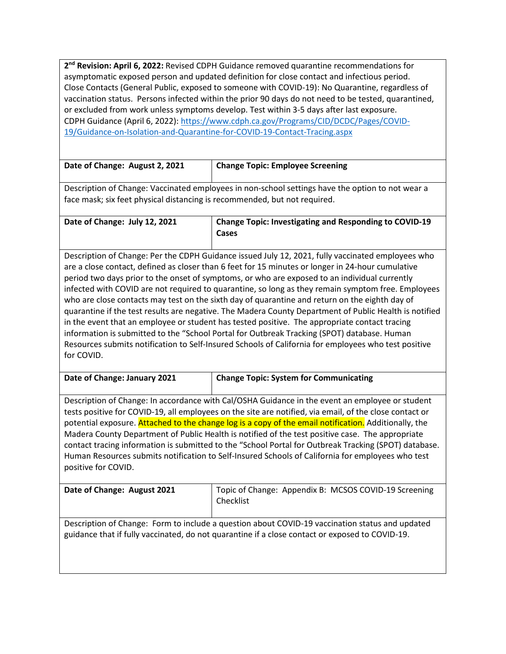2<sup>nd</sup> Revision: April 6, 2022: Revised CDPH Guidance removed quarantine recommendations for asymptomatic exposed person and updated definition for close contact and infectious period. Close Contacts (General Public, exposed to someone with COVID-19): No Quarantine, regardless of vaccination status. Persons infected within the prior 90 days do not need to be tested, quarantined, or excluded from work unless symptoms develop. Test within 3-5 days after last exposure. CDPH Guidance (April 6, 2022)[: https://www.cdph.ca.gov/Programs/CID/DCDC/Pages/COVID-](https://www.cdph.ca.gov/Programs/CID/DCDC/Pages/COVID-19/Guidance-on-Isolation-and-Quarantine-for-COVID-19-Contact-Tracing.aspx)[19/Guidance-on-Isolation-and-Quarantine-for-COVID-19-Contact-Tracing.aspx](https://www.cdph.ca.gov/Programs/CID/DCDC/Pages/COVID-19/Guidance-on-Isolation-and-Quarantine-for-COVID-19-Contact-Tracing.aspx)

| Date of Change: August 2, 2021                                                                   | <b>Change Topic: Employee Screening</b> |
|--------------------------------------------------------------------------------------------------|-----------------------------------------|
|                                                                                                  |                                         |
| Description of Change: Vaccinated employees in non-school settings have the option to not wear a |                                         |

Description of Change: Vaccinated employees in non-school settings have the option to not wear a face mask; six feet physical distancing is recommended, but not required.

**Date of Change: July 12, 2021 Change Topic: Investigating and Responding to COVID-19 Cases** 

Description of Change: Per the CDPH Guidance issued July 12, 2021, fully vaccinated employees who are a close contact, defined as closer than 6 feet for 15 minutes or longer in 24-hour cumulative period two days prior to the onset of symptoms, or who are exposed to an individual currently infected with COVID are not required to quarantine, so long as they remain symptom free. Employees who are close contacts may test on the sixth day of quarantine and return on the eighth day of quarantine if the test results are negative. The Madera County Department of Public Health is notified in the event that an employee or student has tested positive. The appropriate contact tracing information is submitted to the "School Portal for Outbreak Tracking (SPOT) database. Human Resources submits notification to Self-Insured Schools of California for employees who test positive for COVID.

| Date of Change: January 2021 | Change Topic: System for Communicating |
|------------------------------|----------------------------------------|

Description of Change: In accordance with Cal/OSHA Guidance in the event an employee or student tests positive for COVID-19, all employees on the site are notified, via email, of the close contact or potential exposure. Attached to the change log is a copy of the email notification. Additionally, the Madera County Department of Public Health is notified of the test positive case. The appropriate contact tracing information is submitted to the "School Portal for Outbreak Tracking (SPOT) database. Human Resources submits notification to Self-Insured Schools of California for employees who test positive for COVID.

| Date of Change: August 2021                                                                     | Topic of Change: Appendix B: MCSOS COVID-19 Screening<br>Checklist |
|-------------------------------------------------------------------------------------------------|--------------------------------------------------------------------|
| Description of Change: Form to include a question about COVID-19 vaccination status and updated |                                                                    |
| guidance that if fully vaccinated, do not quarantine if a close contact or exposed to COVID-19. |                                                                    |